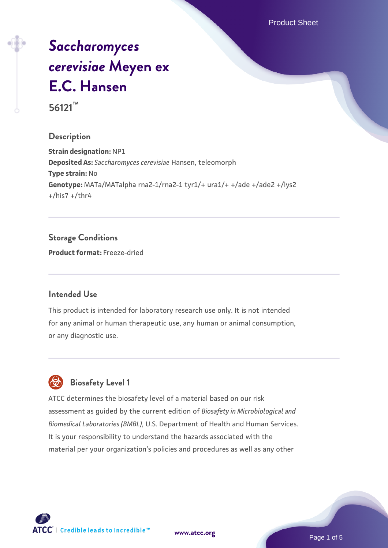Product Sheet

# *[Saccharomyces](https://www.atcc.org/products/56121) [cerevisiae](https://www.atcc.org/products/56121)* **[Meyen ex](https://www.atcc.org/products/56121) [E.C. Hansen](https://www.atcc.org/products/56121) 56121™**

### **Description**

**Strain designation:** NP1 **Deposited As:** *Saccharomyces cerevisiae* Hansen, teleomorph **Type strain:** No **Genotype:** MATa/MATalpha rna2-1/rna2-1 tyr1/+ ura1/+ +/ade +/ade2 +/lys2 +/his7 +/thr4

### **Storage Conditions**

**Product format:** Freeze-dried

### **Intended Use**

This product is intended for laboratory research use only. It is not intended for any animal or human therapeutic use, any human or animal consumption, or any diagnostic use.



## **Biosafety Level 1**

ATCC determines the biosafety level of a material based on our risk assessment as guided by the current edition of *Biosafety in Microbiological and Biomedical Laboratories (BMBL)*, U.S. Department of Health and Human Services. It is your responsibility to understand the hazards associated with the material per your organization's policies and procedures as well as any other

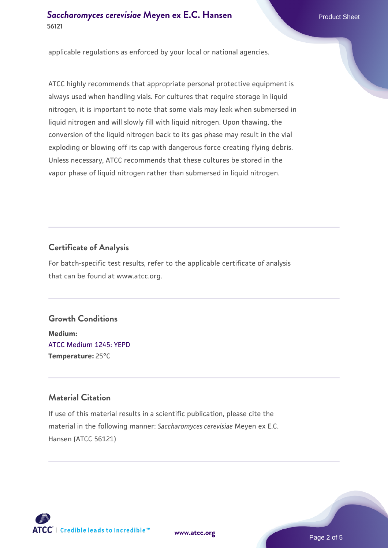### **[Saccharomyces cerevisiae](https://www.atcc.org/products/56121)** [Meyen ex E.C. Hansen](https://www.atcc.org/products/56121) **56121**

applicable regulations as enforced by your local or national agencies.

ATCC highly recommends that appropriate personal protective equipment is always used when handling vials. For cultures that require storage in liquid nitrogen, it is important to note that some vials may leak when submersed in liquid nitrogen and will slowly fill with liquid nitrogen. Upon thawing, the conversion of the liquid nitrogen back to its gas phase may result in the vial exploding or blowing off its cap with dangerous force creating flying debris. Unless necessary, ATCC recommends that these cultures be stored in the vapor phase of liquid nitrogen rather than submersed in liquid nitrogen.

### **Certificate of Analysis**

For batch-specific test results, refer to the applicable certificate of analysis that can be found at www.atcc.org.

### **Growth Conditions**

**Medium:**  [ATCC Medium 1245: YEPD](https://www.atcc.org/-/media/product-assets/documents/microbial-media-formulations/1/2/4/5/atcc-medium-1245.pdf?rev=705ca55d1b6f490a808a965d5c072196) **Temperature:** 25°C

### **Material Citation**

If use of this material results in a scientific publication, please cite the material in the following manner: *Saccharomyces cerevisiae* Meyen ex E.C. Hansen (ATCC 56121)



**[www.atcc.org](http://www.atcc.org)**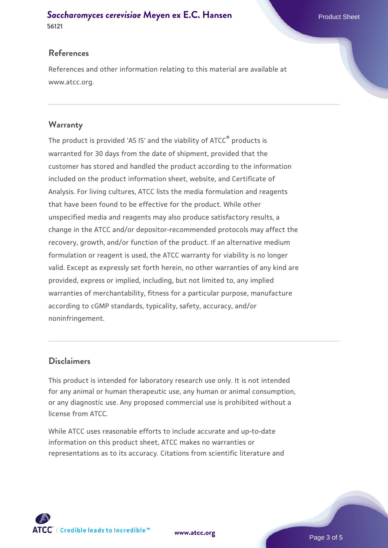# **[Saccharomyces cerevisiae](https://www.atcc.org/products/56121)** [Meyen ex E.C. Hansen](https://www.atcc.org/products/56121)

**56121**

### **References**

References and other information relating to this material are available at www.atcc.org.

### **Warranty**

The product is provided 'AS IS' and the viability of ATCC® products is warranted for 30 days from the date of shipment, provided that the customer has stored and handled the product according to the information included on the product information sheet, website, and Certificate of Analysis. For living cultures, ATCC lists the media formulation and reagents that have been found to be effective for the product. While other unspecified media and reagents may also produce satisfactory results, a change in the ATCC and/or depositor-recommended protocols may affect the recovery, growth, and/or function of the product. If an alternative medium formulation or reagent is used, the ATCC warranty for viability is no longer valid. Except as expressly set forth herein, no other warranties of any kind are provided, express or implied, including, but not limited to, any implied warranties of merchantability, fitness for a particular purpose, manufacture according to cGMP standards, typicality, safety, accuracy, and/or noninfringement.

### **Disclaimers**

This product is intended for laboratory research use only. It is not intended for any animal or human therapeutic use, any human or animal consumption, or any diagnostic use. Any proposed commercial use is prohibited without a license from ATCC.

While ATCC uses reasonable efforts to include accurate and up-to-date information on this product sheet, ATCC makes no warranties or representations as to its accuracy. Citations from scientific literature and



**[www.atcc.org](http://www.atcc.org)**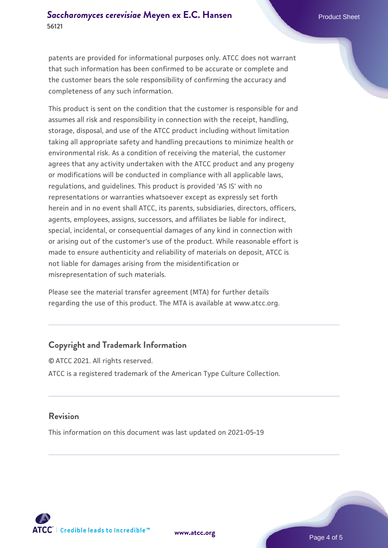patents are provided for informational purposes only. ATCC does not warrant that such information has been confirmed to be accurate or complete and the customer bears the sole responsibility of confirming the accuracy and completeness of any such information.

This product is sent on the condition that the customer is responsible for and assumes all risk and responsibility in connection with the receipt, handling, storage, disposal, and use of the ATCC product including without limitation taking all appropriate safety and handling precautions to minimize health or environmental risk. As a condition of receiving the material, the customer agrees that any activity undertaken with the ATCC product and any progeny or modifications will be conducted in compliance with all applicable laws, regulations, and guidelines. This product is provided 'AS IS' with no representations or warranties whatsoever except as expressly set forth herein and in no event shall ATCC, its parents, subsidiaries, directors, officers, agents, employees, assigns, successors, and affiliates be liable for indirect, special, incidental, or consequential damages of any kind in connection with or arising out of the customer's use of the product. While reasonable effort is made to ensure authenticity and reliability of materials on deposit, ATCC is not liable for damages arising from the misidentification or misrepresentation of such materials.

Please see the material transfer agreement (MTA) for further details regarding the use of this product. The MTA is available at www.atcc.org.

### **Copyright and Trademark Information**

© ATCC 2021. All rights reserved. ATCC is a registered trademark of the American Type Culture Collection.

### **Revision**

This information on this document was last updated on 2021-05-19



**[www.atcc.org](http://www.atcc.org)**